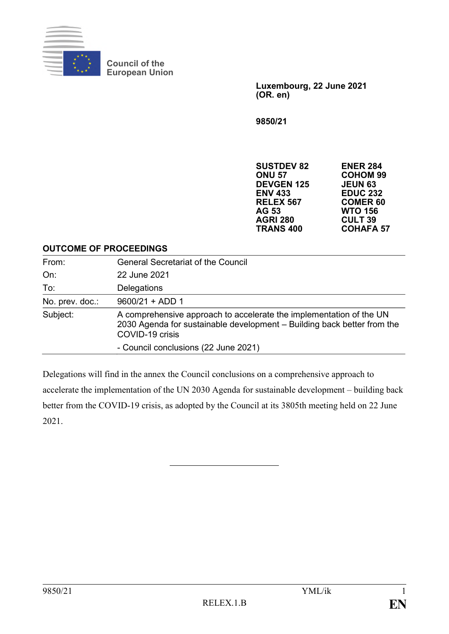

**Council of the European Union**

> **Luxembourg, 22 June 2021 (OR. en)**

**9850/21**

**SUSTDEV 82 ENER 284 ONU 57 COHOM 99 DEVGEN 125 JEUN 63 EDUC 232<br>COMER 60 RELEX 567**<br>**AG 53 WTO 156<br>CULT 39 AGRI 280 CULT 39 TRANS 400** 

#### **OUTCOME OF PROCEEDINGS**

| From:           | <b>General Secretariat of the Council</b>                                                                                                                         |
|-----------------|-------------------------------------------------------------------------------------------------------------------------------------------------------------------|
| On:             | 22 June 2021                                                                                                                                                      |
| To:             | Delegations                                                                                                                                                       |
| No. prev. doc.: | $9600/21 + ADD 1$                                                                                                                                                 |
| Subject:        | A comprehensive approach to accelerate the implementation of the UN<br>2030 Agenda for sustainable development - Building back better from the<br>COVID-19 crisis |
|                 | - Council conclusions (22 June 2021)                                                                                                                              |

Delegations will find in the annex the Council conclusions on a comprehensive approach to accelerate the implementation of the UN 2030 Agenda for sustainable development – building back better from the COVID-19 crisis, as adopted by the Council at its 3805th meeting held on 22 June 2021.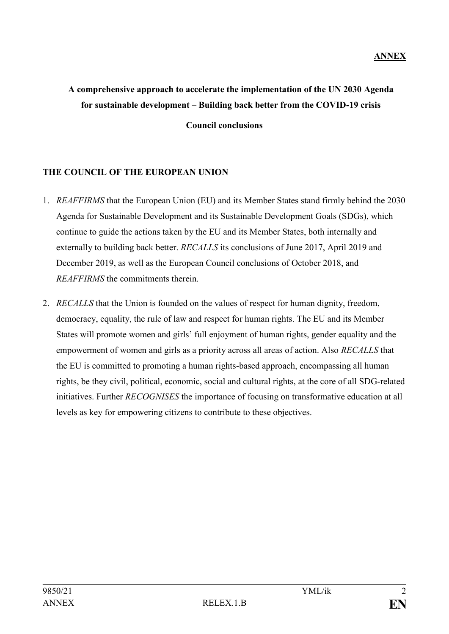# **A comprehensive approach to accelerate the implementation of the UN 2030 Agenda for sustainable development – Building back better from the COVID-19 crisis Council conclusions**

### **THE COUNCIL OF THE EUROPEAN UNION**

- 1. *REAFFIRMS* that the European Union (EU) and its Member States stand firmly behind the 2030 Agenda for Sustainable Development and its Sustainable Development Goals (SDGs), which continue to guide the actions taken by the EU and its Member States, both internally and externally to building back better. *RECALLS* its conclusions of June 2017, April 2019 and December 2019, as well as the European Council conclusions of October 2018, and *REAFFIRMS* the commitments therein.
- 2. *RECALLS* that the Union is founded on the values of respect for human dignity, freedom, democracy, equality, the rule of law and respect for human rights. The EU and its Member States will promote women and girls' full enjoyment of human rights, gender equality and the empowerment of women and girls as a priority across all areas of action. Also *RECALLS* that the EU is committed to promoting a human rights-based approach, encompassing all human rights, be they civil, political, economic, social and cultural rights, at the core of all SDG-related initiatives. Further *RECOGNISES* the importance of focusing on transformative education at all levels as key for empowering citizens to contribute to these objectives.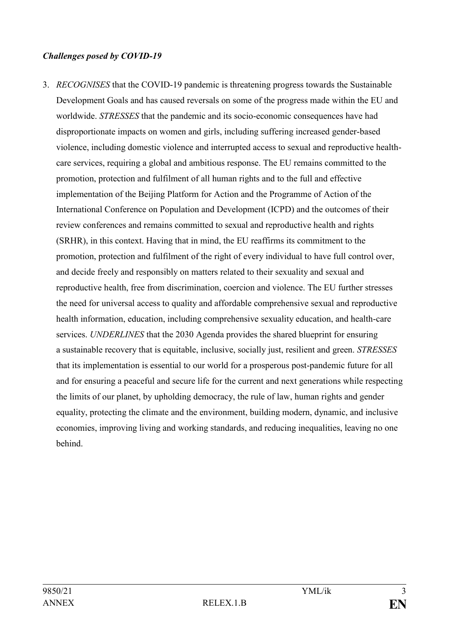#### *Challenges posed by COVID-19*

3. *RECOGNISES* that the COVID-19 pandemic is threatening progress towards the Sustainable Development Goals and has caused reversals on some of the progress made within the EU and worldwide. *STRESSES* that the pandemic and its socio-economic consequences have had disproportionate impacts on women and girls, including suffering increased gender-based violence, including domestic violence and interrupted access to sexual and reproductive healthcare services, requiring a global and ambitious response. The EU remains committed to the promotion, protection and fulfilment of all human rights and to the full and effective implementation of the Beijing Platform for Action and the Programme of Action of the International Conference on Population and Development (ICPD) and the outcomes of their review conferences and remains committed to sexual and reproductive health and rights (SRHR), in this context. Having that in mind, the EU reaffirms its commitment to the promotion, protection and fulfilment of the right of every individual to have full control over, and decide freely and responsibly on matters related to their sexuality and sexual and reproductive health, free from discrimination, coercion and violence. The EU further stresses the need for universal access to quality and affordable comprehensive sexual and reproductive health information, education, including comprehensive sexuality education, and health-care services. *UNDERLINES* that the 2030 Agenda provides the shared blueprint for ensuring a sustainable recovery that is equitable, inclusive, socially just, resilient and green. *STRESSES* that its implementation is essential to our world for a prosperous post-pandemic future for all and for ensuring a peaceful and secure life for the current and next generations while respecting the limits of our planet, by upholding democracy, the rule of law, human rights and gender equality, protecting the climate and the environment, building modern, dynamic, and inclusive economies, improving living and working standards, and reducing inequalities, leaving no one behind.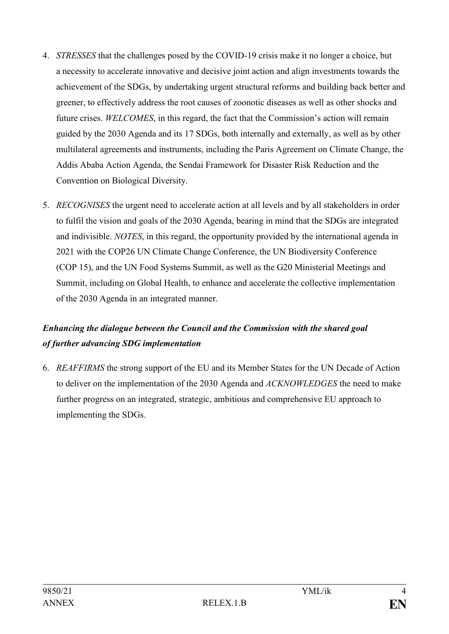- 4. *STRESSES* that the challenges posed by the COVID-19 crisis make it no longer a choice, but a necessity to accelerate innovative and decisive joint action and align investments towards the achievement of the SDGs, by undertaking urgent structural reforms and building back better and greener, to effectively address the root causes of zoonotic diseases as well as other shocks and future crises. *WELCOMES*, in this regard, the fact that the Commission's action will remain guided by the 2030 Agenda and its 17 SDGs, both internally and externally, as well as by other multilateral agreements and instruments, including the Paris Agreement on Climate Change, the Addis Ababa Action Agenda, the Sendai Framework for Disaster Risk Reduction and the Convention on Biological Diversity.
- 5. *RECOGNISES* the urgent need to accelerate action at all levels and by all stakeholders in order to fulfil the vision and goals of the 2030 Agenda, bearing in mind that the SDGs are integrated and indivisible. *NOTES*, in this regard, the opportunity provided by the international agenda in 2021 with the COP26 UN Climate Change Conference, the UN Biodiversity Conference (COP 15), and the UN Food Systems Summit, as well as the G20 Ministerial Meetings and Summit, including on Global Health, to enhance and accelerate the collective implementation of the 2030 Agenda in an integrated manner.

## *Enhancing the dialogue between the Council and the Commission with the shared goal of further advancing SDG implementation*

6. *REAFFIRMS* the strong support of the EU and its Member States for the UN Decade of Action to deliver on the implementation of the 2030 Agenda and *ACKNOWLEDGES* the need to make further progress on an integrated, strategic, ambitious and comprehensive EU approach to implementing the SDGs.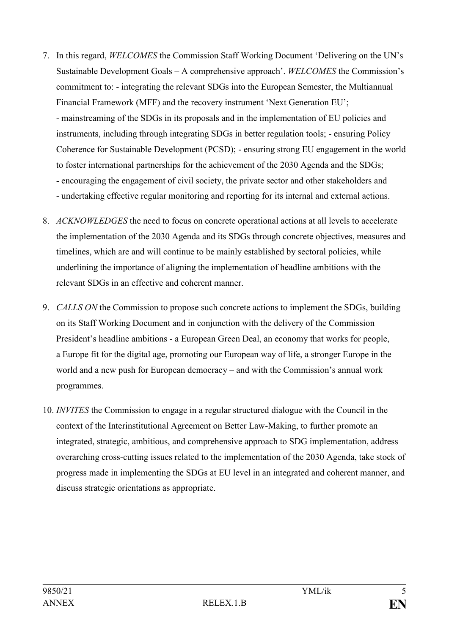- 7. In this regard, *WELCOMES* the Commission Staff Working Document ʻDelivering on the UN's Sustainable Development Goals – A comprehensive approach'. *WELCOMES* the Commission's commitment to: - integrating the relevant SDGs into the European Semester, the Multiannual Financial Framework (MFF) and the recovery instrument 'Next Generation EU'; - mainstreaming of the SDGs in its proposals and in the implementation of EU policies and instruments, including through integrating SDGs in better regulation tools; - ensuring Policy Coherence for Sustainable Development (PCSD); - ensuring strong EU engagement in the world to foster international partnerships for the achievement of the 2030 Agenda and the SDGs; - encouraging the engagement of civil society, the private sector and other stakeholders and - undertaking effective regular monitoring and reporting for its internal and external actions.
- 8. *ACKNOWLEDGES* the need to focus on concrete operational actions at all levels to accelerate the implementation of the 2030 Agenda and its SDGs through concrete objectives, measures and timelines, which are and will continue to be mainly established by sectoral policies, while underlining the importance of aligning the implementation of headline ambitions with the relevant SDGs in an effective and coherent manner.
- 9. *CALLS ON* the Commission to propose such concrete actions to implement the SDGs, building on its Staff Working Document and in conjunction with the delivery of the Commission President's headline ambitions - a European Green Deal, an economy that works for people, a Europe fit for the digital age, promoting our European way of life, a stronger Europe in the world and a new push for European democracy – and with the Commission's annual work programmes.
- 10. *INVITES* the Commission to engage in a regular structured dialogue with the Council in the context of the Interinstitutional Agreement on Better Law-Making, to further promote an integrated, strategic, ambitious, and comprehensive approach to SDG implementation, address overarching cross-cutting issues related to the implementation of the 2030 Agenda, take stock of progress made in implementing the SDGs at EU level in an integrated and coherent manner, and discuss strategic orientations as appropriate.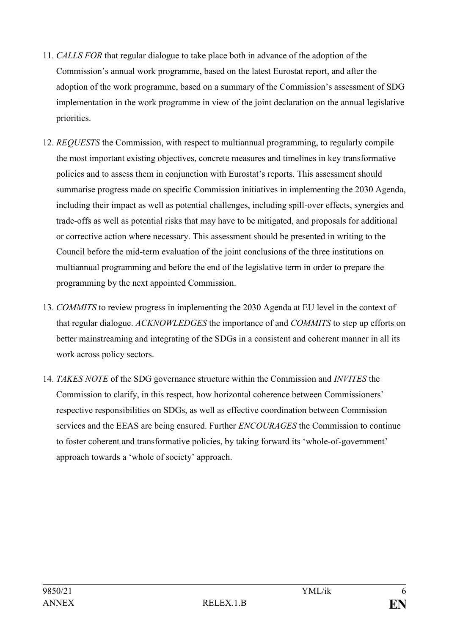- 11. *CALLS FOR* that regular dialogue to take place both in advance of the adoption of the Commission's annual work programme, based on the latest Eurostat report, and after the adoption of the work programme, based on a summary of the Commission's assessment of SDG implementation in the work programme in view of the joint declaration on the annual legislative priorities.
- 12. *REQUESTS* the Commission, with respect to multiannual programming, to regularly compile the most important existing objectives, concrete measures and timelines in key transformative policies and to assess them in conjunction with Eurostat's reports. This assessment should summarise progress made on specific Commission initiatives in implementing the 2030 Agenda, including their impact as well as potential challenges, including spill-over effects, synergies and trade-offs as well as potential risks that may have to be mitigated, and proposals for additional or corrective action where necessary. This assessment should be presented in writing to the Council before the mid-term evaluation of the joint conclusions of the three institutions on multiannual programming and before the end of the legislative term in order to prepare the programming by the next appointed Commission.
- 13. *COMMITS* to review progress in implementing the 2030 Agenda at EU level in the context of that regular dialogue. *ACKNOWLEDGES* the importance of and *COMMITS* to step up efforts on better mainstreaming and integrating of the SDGs in a consistent and coherent manner in all its work across policy sectors.
- 14. *TAKES NOTE* of the SDG governance structure within the Commission and *INVITES* the Commission to clarify, in this respect, how horizontal coherence between Commissioners' respective responsibilities on SDGs, as well as effective coordination between Commission services and the EEAS are being ensured. Further *ENCOURAGES* the Commission to continue to foster coherent and transformative policies, by taking forward its ʻwhole-of-government' approach towards a ʻwhole of society' approach.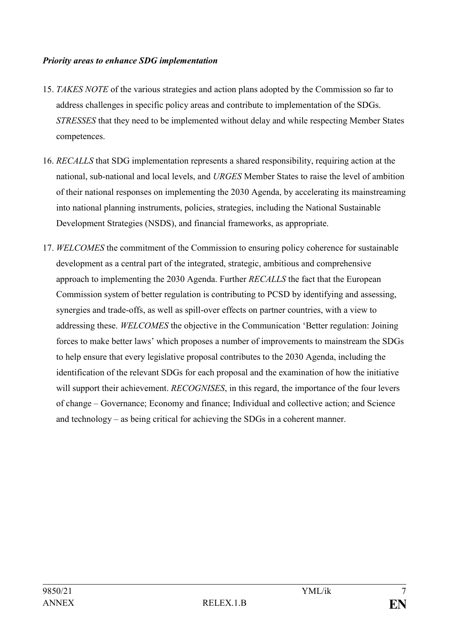#### *Priority areas to enhance SDG implementation*

- 15. *TAKES NOTE* of the various strategies and action plans adopted by the Commission so far to address challenges in specific policy areas and contribute to implementation of the SDGs. *STRESSES* that they need to be implemented without delay and while respecting Member States competences.
- 16. *RECALLS* that SDG implementation represents a shared responsibility, requiring action at the national, sub-national and local levels, and *URGES* Member States to raise the level of ambition of their national responses on implementing the 2030 Agenda, by accelerating its mainstreaming into national planning instruments, policies, strategies, including the National Sustainable Development Strategies (NSDS), and financial frameworks, as appropriate.
- 17. *WELCOMES* the commitment of the Commission to ensuring policy coherence for sustainable development as a central part of the integrated, strategic, ambitious and comprehensive approach to implementing the 2030 Agenda. Further *RECALLS* the fact that the European Commission system of better regulation is contributing to PCSD by identifying and assessing, synergies and trade-offs, as well as spill-over effects on partner countries, with a view to addressing these. *WELCOMES* the objective in the Communication ʻBetter regulation: Joining forces to make better laws' which proposes a number of improvements to mainstream the SDGs to help ensure that every legislative proposal contributes to the 2030 Agenda, including the identification of the relevant SDGs for each proposal and the examination of how the initiative will support their achievement. *RECOGNISES*, in this regard, the importance of the four levers of change – Governance; Economy and finance; Individual and collective action; and Science and technology – as being critical for achieving the SDGs in a coherent manner.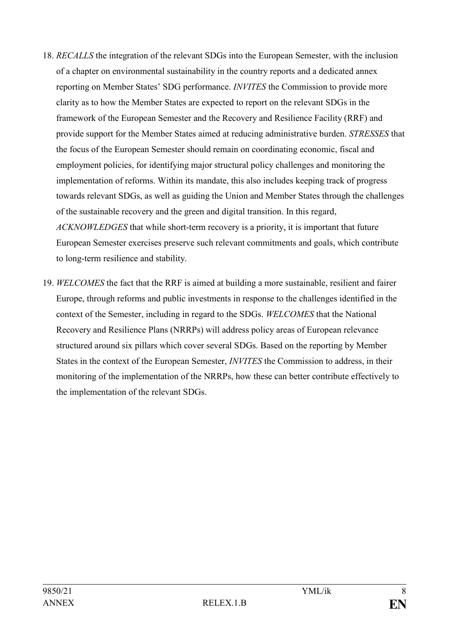- 18. *RECALLS* the integration of the relevant SDGs into the European Semester, with the inclusion of a chapter on environmental sustainability in the country reports and a dedicated annex reporting on Member States' SDG performance. *INVITES* the Commission to provide more clarity as to how the Member States are expected to report on the relevant SDGs in the framework of the European Semester and the Recovery and Resilience Facility (RRF) and provide support for the Member States aimed at reducing administrative burden. *STRESSES* that the focus of the European Semester should remain on coordinating economic, fiscal and employment policies, for identifying major structural policy challenges and monitoring the implementation of reforms. Within its mandate, this also includes keeping track of progress towards relevant SDGs, as well as guiding the Union and Member States through the challenges of the sustainable recovery and the green and digital transition. In this regard, *ACKNOWLEDGES* that while short-term recovery is a priority, it is important that future European Semester exercises preserve such relevant commitments and goals, which contribute to long-term resilience and stability.
- 19. *WELCOMES* the fact that the RRF is aimed at building a more sustainable, resilient and fairer Europe, through reforms and public investments in response to the challenges identified in the context of the Semester, including in regard to the SDGs. *WELCOMES* that the National Recovery and Resilience Plans (NRRPs) will address policy areas of European relevance structured around six pillars which cover several SDGs. Based on the reporting by Member States in the context of the European Semester, *INVITES* the Commission to address, in their monitoring of the implementation of the NRRPs, how these can better contribute effectively to the implementation of the relevant SDGs.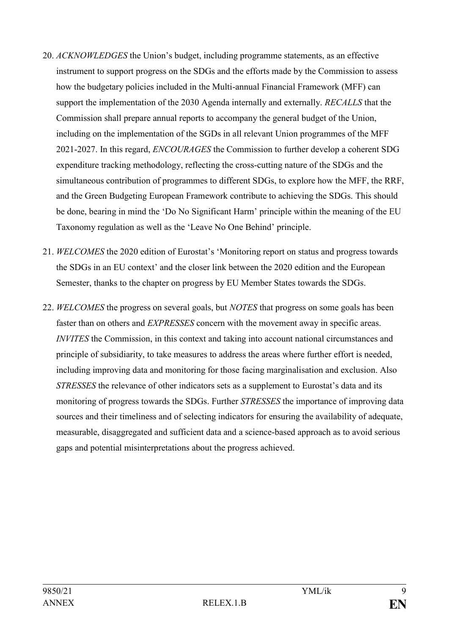- 20. *ACKNOWLEDGES* the Union's budget, including programme statements, as an effective instrument to support progress on the SDGs and the efforts made by the Commission to assess how the budgetary policies included in the Multi-annual Financial Framework (MFF) can support the implementation of the 2030 Agenda internally and externally. *RECALLS* that the Commission shall prepare annual reports to accompany the general budget of the Union, including on the implementation of the SGDs in all relevant Union programmes of the MFF 2021-2027. In this regard, *ENCOURAGES* the Commission to further develop a coherent SDG expenditure tracking methodology, reflecting the cross-cutting nature of the SDGs and the simultaneous contribution of programmes to different SDGs, to explore how the MFF, the RRF, and the Green Budgeting European Framework contribute to achieving the SDGs. This should be done, bearing in mind the ʻDo No Significant Harm' principle within the meaning of the EU Taxonomy regulation as well as the ʻLeave No One Behind' principle.
- 21. *WELCOMES* the 2020 edition of Eurostat's ʻMonitoring report on status and progress towards the SDGs in an EU context' and the closer link between the 2020 edition and the European Semester, thanks to the chapter on progress by EU Member States towards the SDGs.
- 22. *WELCOMES* the progress on several goals, but *NOTES* that progress on some goals has been faster than on others and *EXPRESSES* concern with the movement away in specific areas. *INVITES* the Commission, in this context and taking into account national circumstances and principle of subsidiarity, to take measures to address the areas where further effort is needed, including improving data and monitoring for those facing marginalisation and exclusion. Also *STRESSES* the relevance of other indicators sets as a supplement to Eurostat's data and its monitoring of progress towards the SDGs. Further *STRESSES* the importance of improving data sources and their timeliness and of selecting indicators for ensuring the availability of adequate, measurable, disaggregated and sufficient data and a science-based approach as to avoid serious gaps and potential misinterpretations about the progress achieved.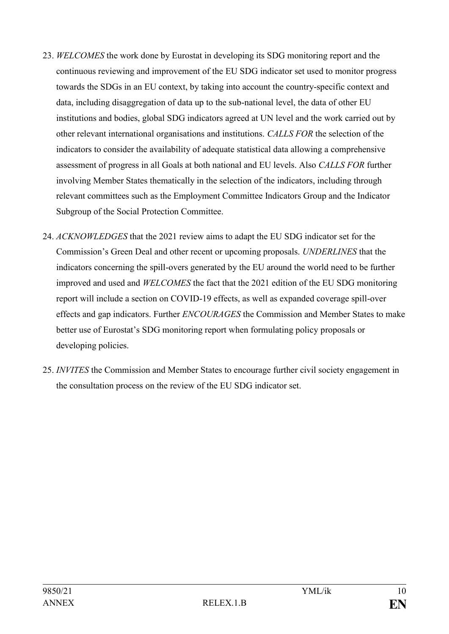- 23. *WELCOMES* the work done by Eurostat in developing its SDG monitoring report and the continuous reviewing and improvement of the EU SDG indicator set used to monitor progress towards the SDGs in an EU context, by taking into account the country-specific context and data, including disaggregation of data up to the sub-national level, the data of other EU institutions and bodies, global SDG indicators agreed at UN level and the work carried out by other relevant international organisations and institutions. *CALLS FOR* the selection of the indicators to consider the availability of adequate statistical data allowing a comprehensive assessment of progress in all Goals at both national and EU levels. Also *CALLS FOR* further involving Member States thematically in the selection of the indicators, including through relevant committees such as the Employment Committee Indicators Group and the Indicator Subgroup of the Social Protection Committee.
- 24. *ACKNOWLEDGES* that the 2021 review aims to adapt the EU SDG indicator set for the Commission's Green Deal and other recent or upcoming proposals. *UNDERLINES* that the indicators concerning the spill-overs generated by the EU around the world need to be further improved and used and *WELCOMES* the fact that the 2021 edition of the EU SDG monitoring report will include a section on COVID-19 effects, as well as expanded coverage spill-over effects and gap indicators. Further *ENCOURAGES* the Commission and Member States to make better use of Eurostat's SDG monitoring report when formulating policy proposals or developing policies.
- 25. *INVITES* the Commission and Member States to encourage further civil society engagement in the consultation process on the review of the EU SDG indicator set.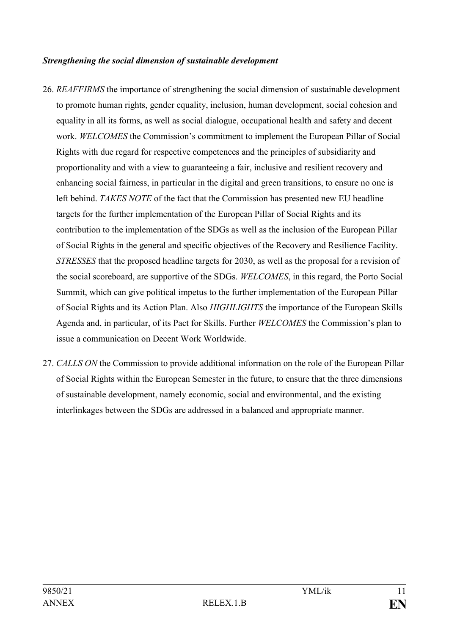#### *Strengthening the social dimension of sustainable development*

- 26. *REAFFIRMS* the importance of strengthening the social dimension of sustainable development to promote human rights, gender equality, inclusion, human development, social cohesion and equality in all its forms, as well as social dialogue, occupational health and safety and decent work. *WELCOMES* the Commission's commitment to implement the European Pillar of Social Rights with due regard for respective competences and the principles of subsidiarity and proportionality and with a view to guaranteeing a fair, inclusive and resilient recovery and enhancing social fairness, in particular in the digital and green transitions, to ensure no one is left behind. *TAKES NOTE* of the fact that the Commission has presented new EU headline targets for the further implementation of the European Pillar of Social Rights and its contribution to the implementation of the SDGs as well as the inclusion of the European Pillar of Social Rights in the general and specific objectives of the Recovery and Resilience Facility. *STRESSES* that the proposed headline targets for 2030, as well as the proposal for a revision of the social scoreboard, are supportive of the SDGs. *WELCOMES*, in this regard, the Porto Social Summit, which can give political impetus to the further implementation of the European Pillar of Social Rights and its Action Plan. Also *HIGHLIGHTS* the importance of the European Skills Agenda and, in particular, of its Pact for Skills. Further *WELCOMES* the Commission's plan to issue a communication on Decent Work Worldwide.
- 27. *CALLS ON* the Commission to provide additional information on the role of the European Pillar of Social Rights within the European Semester in the future, to ensure that the three dimensions of sustainable development, namely economic, social and environmental, and the existing interlinkages between the SDGs are addressed in a balanced and appropriate manner.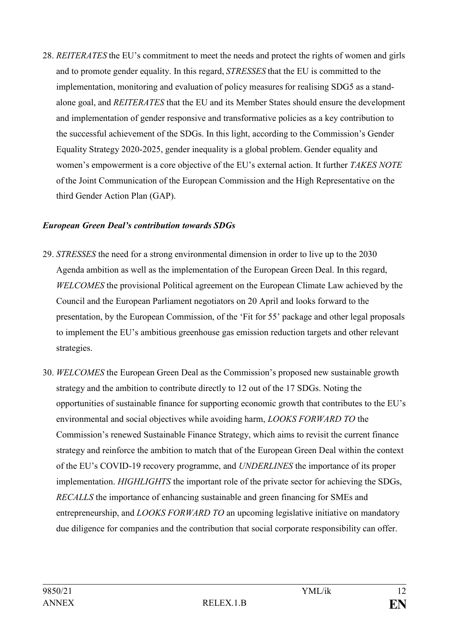28. *REITERATES* the EU's commitment to meet the needs and protect the rights of women and girls and to promote gender equality. In this regard, *STRESSES* that the EU is committed to the implementation, monitoring and evaluation of policy measures for realising SDG5 as a standalone goal, and *REITERATES* that the EU and its Member States should ensure the development and implementation of gender responsive and transformative policies as a key contribution to the successful achievement of the SDGs. In this light, according to the Commission's Gender Equality Strategy 2020-2025, gender inequality is a global problem. Gender equality and women's empowerment is a core objective of the EU's external action. It further *TAKES NOTE*  of the Joint Communication of the European Commission and the High Representative on the third Gender Action Plan (GAP).

#### *European Green Deal's contribution towards SDGs*

- 29. *STRESSES* the need for a strong environmental dimension in order to live up to the 2030 Agenda ambition as well as the implementation of the European Green Deal. In this regard, *WELCOMES* the provisional Political agreement on the European Climate Law achieved by the Council and the European Parliament negotiators on 20 April and looks forward to the presentation, by the European Commission, of the ʻFit for 55' package and other legal proposals to implement the EU's ambitious greenhouse gas emission reduction targets and other relevant strategies.
- 30. *WELCOMES* the European Green Deal as the Commission's proposed new sustainable growth strategy and the ambition to contribute directly to 12 out of the 17 SDGs. Noting the opportunities of sustainable finance for supporting economic growth that contributes to the EU's environmental and social objectives while avoiding harm, *LOOKS FORWARD TO* the Commission's renewed Sustainable Finance Strategy, which aims to revisit the current finance strategy and reinforce the ambition to match that of the European Green Deal within the context of the EU's COVID-19 recovery programme, and *UNDERLINES* the importance of its proper implementation. *HIGHLIGHTS* the important role of the private sector for achieving the SDGs, *RECALLS* the importance of enhancing sustainable and green financing for SMEs and entrepreneurship, and *LOOKS FORWARD TO* an upcoming legislative initiative on mandatory due diligence for companies and the contribution that social corporate responsibility can offer.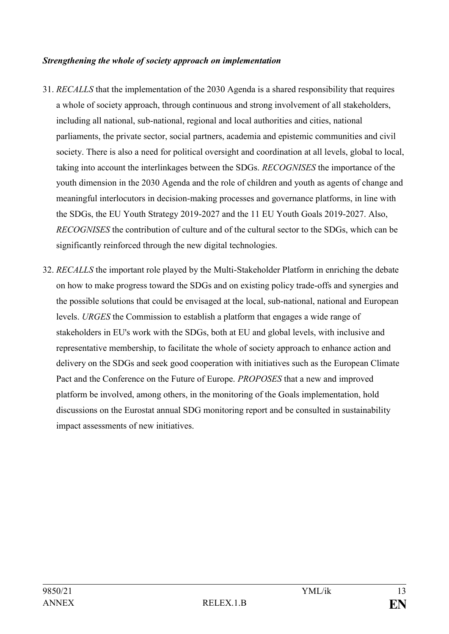#### *Strengthening the whole of society approach on implementation*

- 31. *RECALLS* that the implementation of the 2030 Agenda is a shared responsibility that requires a whole of society approach, through continuous and strong involvement of all stakeholders, including all national, sub-national, regional and local authorities and cities, national parliaments, the private sector, social partners, academia and epistemic communities and civil society. There is also a need for political oversight and coordination at all levels, global to local, taking into account the interlinkages between the SDGs. *RECOGNISES* the importance of the youth dimension in the 2030 Agenda and the role of children and youth as agents of change and meaningful interlocutors in decision-making processes and governance platforms, in line with the SDGs, the EU Youth Strategy 2019-2027 and the 11 EU Youth Goals 2019-2027. Also, *RECOGNISES* the contribution of culture and of the cultural sector to the SDGs, which can be significantly reinforced through the new digital technologies.
- 32. *RECALLS* the important role played by the Multi-Stakeholder Platform in enriching the debate on how to make progress toward the SDGs and on existing policy trade-offs and synergies and the possible solutions that could be envisaged at the local, sub-national, national and European levels. *URGES* the Commission to establish a platform that engages a wide range of stakeholders in EU's work with the SDGs, both at EU and global levels, with inclusive and representative membership, to facilitate the whole of society approach to enhance action and delivery on the SDGs and seek good cooperation with initiatives such as the European Climate Pact and the Conference on the Future of Europe. *PROPOSES* that a new and improved platform be involved, among others, in the monitoring of the Goals implementation, hold discussions on the Eurostat annual SDG monitoring report and be consulted in sustainability impact assessments of new initiatives.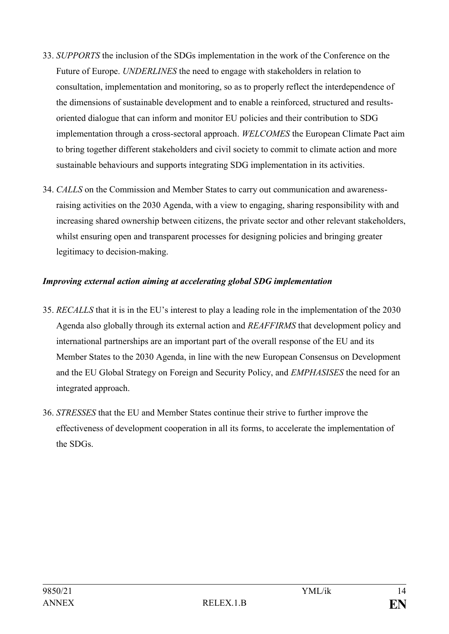- 33. *SUPPORTS* the inclusion of the SDGs implementation in the work of the Conference on the Future of Europe. *UNDERLINES* the need to engage with stakeholders in relation to consultation, implementation and monitoring, so as to properly reflect the interdependence of the dimensions of sustainable development and to enable a reinforced, structured and resultsoriented dialogue that can inform and monitor EU policies and their contribution to SDG implementation through a cross-sectoral approach. *WELCOMES* the European Climate Pact aim to bring together different stakeholders and civil society to commit to climate action and more sustainable behaviours and supports integrating SDG implementation in its activities.
- 34. *CALLS* on the Commission and Member States to carry out communication and awarenessraising activities on the 2030 Agenda, with a view to engaging, sharing responsibility with and increasing shared ownership between citizens, the private sector and other relevant stakeholders, whilst ensuring open and transparent processes for designing policies and bringing greater legitimacy to decision-making.

#### *Improving external action aiming at accelerating global SDG implementation*

- 35. *RECALLS* that it is in the EU's interest to play a leading role in the implementation of the 2030 Agenda also globally through its external action and *REAFFIRMS* that development policy and international partnerships are an important part of the overall response of the EU and its Member States to the 2030 Agenda, in line with the new European Consensus on Development and the EU Global Strategy on Foreign and Security Policy, and *EMPHASISES* the need for an integrated approach.
- 36. *STRESSES* that the EU and Member States continue their strive to further improve the effectiveness of development cooperation in all its forms, to accelerate the implementation of the SDGs.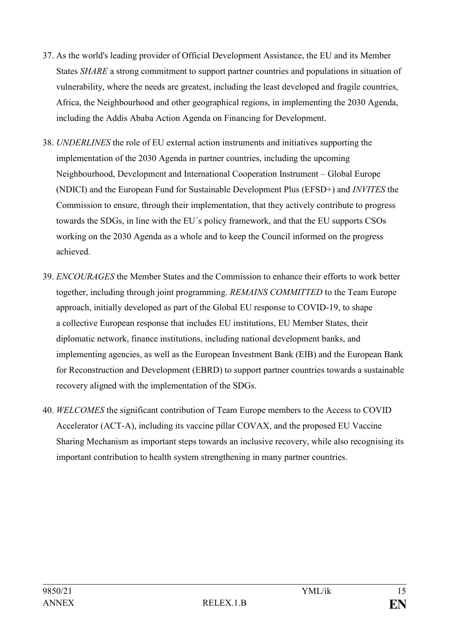- 37. As the world's leading provider of Official Development Assistance, the EU and its Member States *SHARE* a strong commitment to support partner countries and populations in situation of vulnerability, where the needs are greatest, including the least developed and fragile countries, Africa, the Neighbourhood and other geographical regions, in implementing the 2030 Agenda, including the Addis Ababa Action Agenda on Financing for Development.
- 38. *UNDERLINES* the role of EU external action instruments and initiatives supporting the implementation of the 2030 Agenda in partner countries, including the upcoming Neighbourhood, Development and International Cooperation Instrument – Global Europe (NDICI) and the European Fund for Sustainable Development Plus (EFSD+) and *INVITES* the Commission to ensure, through their implementation, that they actively contribute to progress towards the SDGs, in line with the EU´s policy framework, and that the EU supports CSOs working on the 2030 Agenda as a whole and to keep the Council informed on the progress achieved.
- 39. *ENCOURAGES* the Member States and the Commission to enhance their efforts to work better together, including through joint programming. *REMAINS COMMITTED* to the Team Europe approach, initially developed as part of the Global EU response to COVID-19, to shape a collective European response that includes EU institutions, EU Member States, their diplomatic network, finance institutions, including national development banks, and implementing agencies, as well as the European Investment Bank (EIB) and the European Bank for Reconstruction and Development (EBRD) to support partner countries towards a sustainable recovery aligned with the implementation of the SDGs.
- 40. *WELCOMES* the significant contribution of Team Europe members to the Access to COVID Accelerator (ACT-A), including its vaccine pillar COVAX, and the proposed EU Vaccine Sharing Mechanism as important steps towards an inclusive recovery, while also recognising its important contribution to health system strengthening in many partner countries.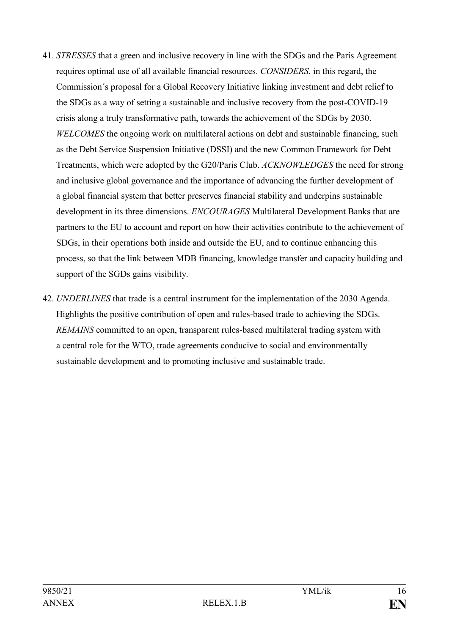- 41. *STRESSES* that a green and inclusive recovery in line with the SDGs and the Paris Agreement requires optimal use of all available financial resources. *CONSIDERS*, in this regard, the Commission´s proposal for a Global Recovery Initiative linking investment and debt relief to the SDGs as a way of setting a sustainable and inclusive recovery from the post-COVID-19 crisis along a truly transformative path, towards the achievement of the SDGs by 2030. *WELCOMES* the ongoing work on multilateral actions on debt and sustainable financing, such as the Debt Service Suspension Initiative (DSSI) and the new Common Framework for Debt Treatments, which were adopted by the G20/Paris Club. *ACKNOWLEDGES* the need for strong and inclusive global governance and the importance of advancing the further development of a global financial system that better preserves financial stability and underpins sustainable development in its three dimensions. *ENCOURAGES* Multilateral Development Banks that are partners to the EU to account and report on how their activities contribute to the achievement of SDGs, in their operations both inside and outside the EU, and to continue enhancing this process, so that the link between MDB financing, knowledge transfer and capacity building and support of the SGDs gains visibility.
- 42. *UNDERLINES* that trade is a central instrument for the implementation of the 2030 Agenda. Highlights the positive contribution of open and rules-based trade to achieving the SDGs. *REMAINS* committed to an open, transparent rules-based multilateral trading system with a central role for the WTO, trade agreements conducive to social and environmentally sustainable development and to promoting inclusive and sustainable trade.